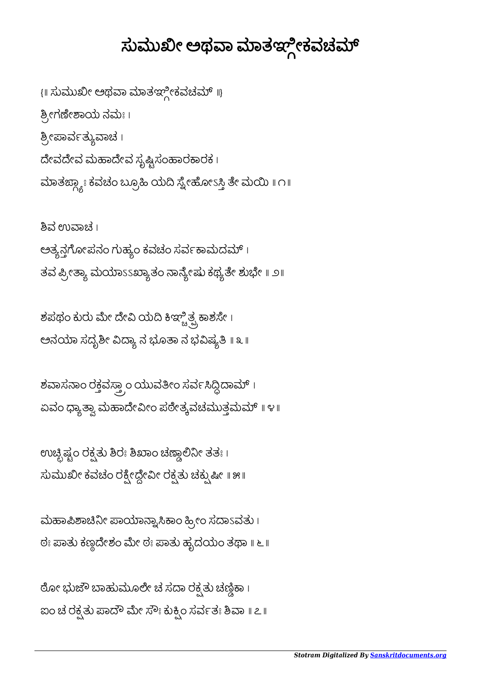## ಸುಮುಖೀ ಅಥವಾ ಮಾತಞ್ಗೀಕವಚಮ್

{॥ ಸುಮುಖೀ ಅಥವಾ ಮಾತಞ್ಗೀಕವಚಮ್ ॥} ಶ್ರೀಗಣೇಶಾಯ ನಮಃ। ಶ್ರೀಪಾರ್ವತ್ಯುವಾಚ । ದೇವದೇವ ಮಹಾದೇವ ಸೃಷ್ಟಿಸಂಹಾರಕಾರಕ। ಮಾತರ್ಜ್ಯಾಃ ಕವಚಂ ಬ್ರೂಹಿ ಯದಿ ಸ್ನೇಹೋಽಸ್ತಿ ತೇ ಮಯಿ ॥ ೧॥

ಶಿವ ಉವಾಚ । ಅತ್ಯನ್ಗಗೋಪನಂ ಗುಹ್ಯಂ ಕವಚಂ ಸರ್ವಕಾಮದಮ್ । ತವ ಪ್ರೀತ್ಯಾ ಮರ್ಯಾಽಽಖ್ಯಾತಂ ನಾನ್ಯೇಷು ಕಥ್ಯತೇ ಶುಭೇ ॥ ೨॥

ಶಪಥಂ ಕುರು ಮೇ ದೇವಿ ಯದಿ ಕಿಞ್ಚಿತ್ಪ್ರಕಾಶಸೇ । ಅನಯಾ ಸದೃಶೀ ವಿದ್ಯಾ ನ ಭೂತಾ ನ ಭವಿಷ್ಯತಿ ॥ ೩ ॥

ಶವಾಸನಾಂ ರಕ್ತವಸ್ತ್ರಾಂ ಯುವತೀಂ ಸರ್ವಸಿದ್ದಿದಾಮ್ । ಏವಂ ಧ್ಯಾತ್ವಾ ಮಹಾದೇವೀಂ ಪಠೇತ್ಕವಚಮುತ್ತಮಮ್ ॥ ೪॥

ಉಚ್ಛಿಷ್ಟಂ ರಕ್ಷತು ಶಿರಃ ಶಿಖಾಂ ಚಣ್ಣಾಲಿನೀ ತತಃ । ಸುಮುಖೀ ಕವಚಂ ರಕ್ಷೀದ್ದೇವೀ ರಕ್ಷತು ಚಕ್ಸುಷೀ ॥ ೫॥

ಮಹಾಪಿಶಾಚಿನೀ ಪಾಯಾನ್ನಾಸಿಕಾಂ ಹ್ರೀಂ ಸದಾಽವತು । ಠಃ ಪಾತು ಕಣ್ಣದೇಶಂ ಮೇ ಠಃ ಪಾತು ಹೃದಯಂ ತಥಾ ॥ ೬ ॥

ಠೋ ಭುಜೌ ಬಾಹುಮೂಲೇ ಚ ಸದಾ ರಕ್ಷತು ಚಣ್ಣಿಕಾ। ಐಂ ಚ ರಕ್ಷತು ಪಾದೌ ಮೇ ಸೌಃ ಕುಕ್ಷಿಂ ಸರ್ವತಃ ಶಿವಾ ॥ ೭॥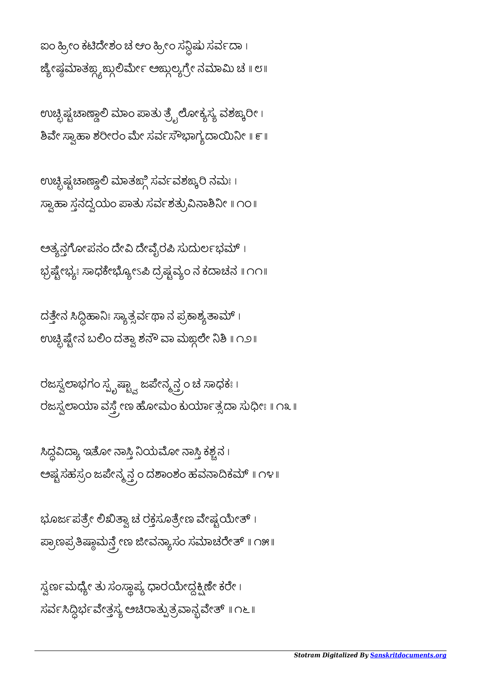ಸ್ವರ್ಣಮಧ್ಯೇ ತು ಸಂಸ್ಥಾಪ್ಯ ಧಾರಯೇದ್ದಕ್ಪಿಣೇ ಕರೇ। ಸರ್ವಸಿದ್ದಿರ್ಭವೇತ್ತಸ್ಯ ಅಚಿರಾತ್ಪುತ್ರವಾನ್ಬವೇತ್ ॥ ೧೬ ॥

ಭೂರ್ಜಪತ್ರೇ ಲಿಖಿತ್ವಾ ಚ ರಕ್ತಸೂತ್ರೇಣ ವೇಷ್ಟಯೇತ್ । ಪ್ರಾಣಪ್ರತಿಷ್ಠಾಮನ್ತ್ರೇಣ ಜೀವನ್ಯಾಸಂ ಸಮಾಚರೇತ್ ॥ ೧೫॥

ಸಿದ್ದವಿದ್ಯಾ ಇತೋ ನಾಸ್ತಿ ನಿಯಮೋ ನಾಸ್ತಿ ಕಶ್ಚನ । ಅಷ್ಟಸಹಸ್ರಂ ಜಪೇನ್ಮ್ಸತ್ರ್ರಂ ದಶಾಂಶಂ ಹವನಾದಿಕಮ್ ॥ ೧೪॥

ರಜಸ್ವಲಾಭಗಂ ಸ್ಪ್ರ್ಯ<mark>ಷ್ಟ್ವಾ</mark> ಜಪೇನ್ಮ್ತನ್ರ್ರಂ ಚ ಸಾಧಕಃ । ರಜಸ್ವಲಾಯಾ ವಸ್ತ್ರೇಣ ಹೋಮಂ ಕುರ್ಯಾತ್ಸದಾ ಸುಧೀಃ ॥ ೧೩ ॥

ದತ್ತೇನ ಸಿದ್ದಿಹಾನಿಃ ಸ್ಯಾತ್ಸರ್ವಥಾ ನ ಪ್ರಕಾಶ್ಯತಾಮ್ । ಉಚ್ಛಿಷ್ಟೇನ ಬಲಿಂ ದತ್ವಾ ಶನೌ ವಾ ಮಙ್ಗಲೇ ನಿಶಿ ॥ ೧೨॥

ಅತ್ಯನ್ಗಗೋಪನಂ ದೇವಿ ದೇವೈರಪಿ ಸುದುರ್ಲಭಮ್ । ಭ್ರಷ್ಟೇಭ್ಯಃ ಸಾಧಕೇಭ್ಯೋಽಪಿ ದ್ರಷ್ಟವ್ಯಂ ನ ಕದಾಚನ ॥ ೧೧॥

ಉಚ್ಛಿಷ್ಟಚಾಣ್ಡಾಲಿ ಮಾತಙ್ಗಿ ಸರ್ವವಶಙ್ಕರಿ ನಮಃ । ಸ್ವಾಹಾ ಸ್ತನದ್ವೆಯಂ ಪಾತು ಸರ್ವಶತ್ರುವಿನಾಶಿನೀ ॥ ೧೦॥

ಉಚ್ಛಿಷ್ಟಚಾಣ್ದಾಲಿ ಮಾಂ ಪಾತು ತ್ರ್ವೆಲೋಕ್ಯಸ್ಯ ವಶಙ್ಕರೀ । .<br>ಶಿವೇ ಸ್ವಾಹಾ ಶರೀರಂ ಮೇ ಸರ್ವಸೌಭಾಗ್ಯದಾಯಿನೀ ॥ ೯ ॥

ಐಂ ಹ್ರೀಂ ಕಟಿದೇಶಂ ಚೆ ಆಂ ಹ್ರೀಂ ಸನ್ದಿಷು ಸರ್ವದಾ। ಜ್ಯೇಷ್ಲಮಾತಙ್ಲ್ಲಙ್ಲುಲೀಲ್ ಅಙ್ಗುಲ್ಯಗ್ರೀ ನಮಾಮಿ ಚೆ ॥ ೮॥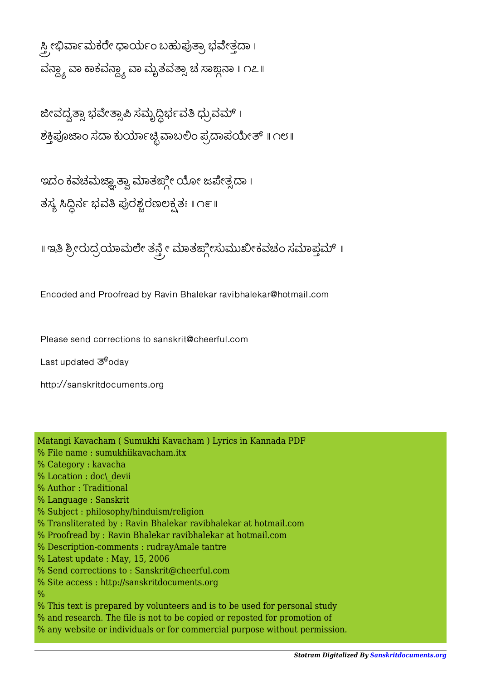ಸ್ತ್ರೀಭಿರ್ವಾಮಕರೇ ಧಾರ್ಯಂ ಬಹುಪುತ್ರಾ ಭವೇತ್ತದಾ। ವನ್ದ್ಯಾ ವಾ ಕಾಕವನ್ದ್ಯಾ ವಾ ಮೃತವತ್ಸಾ ಚ ಸಾಙ್ಗನಾ ॥ ೧೭॥

ಜೀವದ್ವತ್ಸಾ ಭವೇತ್ಸಾಪಿ ಸಮೃದ್ಧಿರ್ಭವತಿ ಧ್ರುವಮ್ । ಶಕ್ತಿಪೂಜಾಂ ಸದಾ ಕುರ್ಯಾಚ್ಛಿವಾಬಲಿಂ ಪ್ರದಾಪಯೇತ್ ॥ ೧೮॥

ಇದಂ ಕವಚಮಜ್ಞಾತ್ವಾ ಮಾತಙ್ಗೀ ಯೋ ಜಪೇತ್ಸದಾ । ತಸ್ಯ ಸಿದ್ಧಿರ್ನ ಭವತಿ ಪುರಶ್ಚರಣಲಕ್ಷತಃ ॥ ೧೯॥

॥ ಇತಿ ಶ್ರೀರುದ್ರಯಾಮಲೇ ತನ್ತ್ರೇ ಮಾತಙ್ಗೀಸುಮುಖೀಕವಚಂ ಸಮಾಪ್ತಮ್ ॥

Encoded and Proofread by Ravin Bhalekar ravibhalekar@hotmail.com

Please send corrections to sanskrit@cheerful.com

Last updated  $\mathfrak{G}^6$ oday

http://sanskritdocuments.org

Matangi Kavacham ( Sumukhi Kavacham ) Lyrics in Kannada PDF % File name : sumukhiikavacham.itx % Category : kavacha % Location : doc\\_devii % Author : Traditional % Language : Sanskrit % Subject : philosophy/hinduism/religion % Transliterated by : Ravin Bhalekar ravibhalekar at hotmail.com % Proofread by : Ravin Bhalekar ravibhalekar at hotmail.com % Description-comments : rudrayAmale tantre % Latest update : May, 15, 2006 % Send corrections to : Sanskrit@cheerful.com % Site access : http://sanskritdocuments.org  $\frac{0}{6}$ % This text is prepared by volunteers and is to be used for personal study % and research. The file is not to be copied or reposted for promotion of % any website or individuals or for commercial purpose without permission.